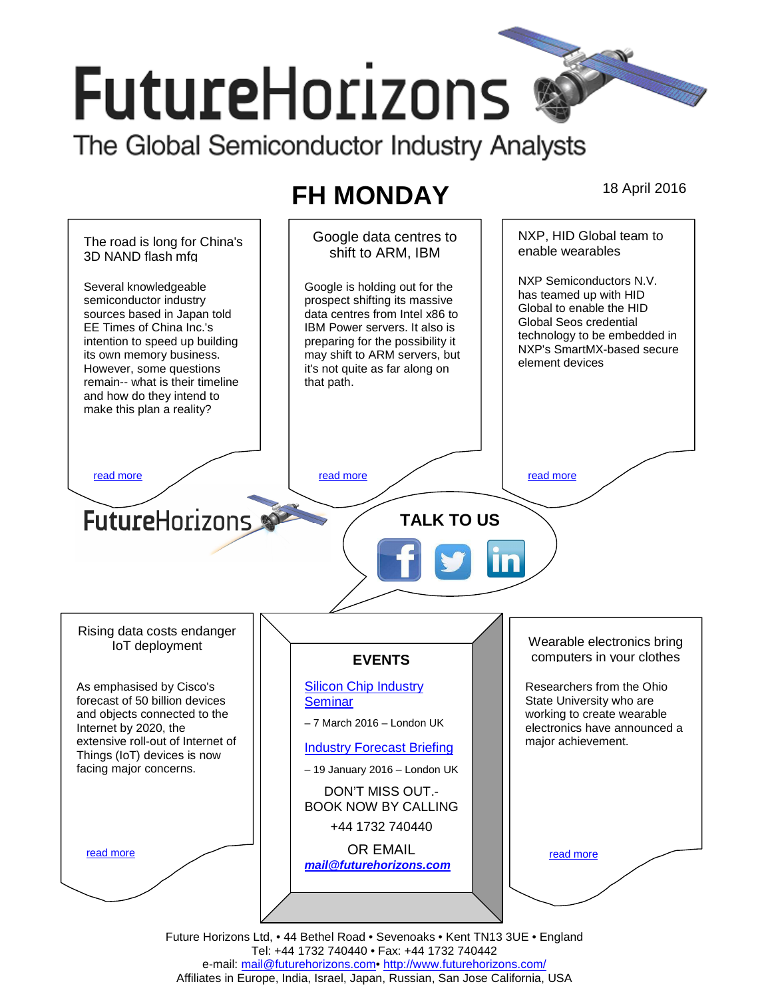# **FutureHorizons**

The Global Semiconductor Industry Analysts

## **FH MONDAY** 18 April 2016



Tel: +44 1732 740440 • Fax: +44 1732 740442 e-mail: mail@futurehorizons.com• http://www.futurehorizons.com/ Affiliates in Europe, India, Israel, Japan, Russian, San Jose California, USA